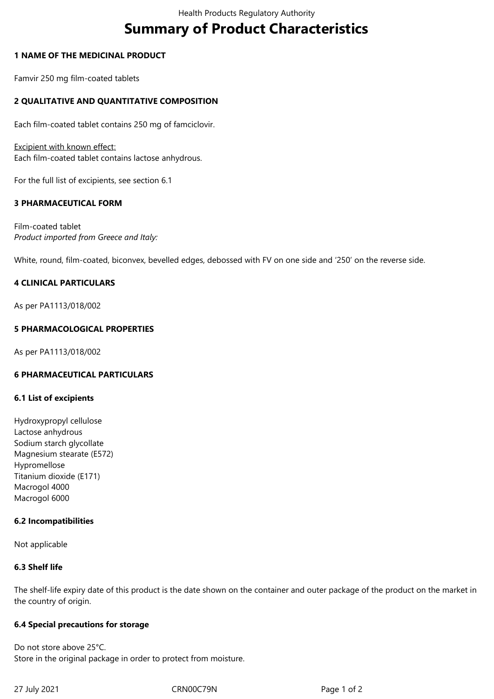# **Summary of Product Characteristics**

# **1 NAME OF THE MEDICINAL PRODUCT**

Famvir 250 mg film-coated tablets

# **2 QUALITATIVE AND QUANTITATIVE COMPOSITION**

Each film-coated tablet contains 250 mg of famciclovir.

Excipient with known effect: Each film-coated tablet contains lactose anhydrous.

For the full list of excipients, see section 6.1

# **3 PHARMACEUTICAL FORM**

Film-coated tablet *Product imported from Greece and Italy:*

White, round, film-coated, biconvex, bevelled edges, debossed with FV on one side and '250' on the reverse side.

# **4 CLINICAL PARTICULARS**

As per PA1113/018/002

# **5 PHARMACOLOGICAL PROPERTIES**

As per PA1113/018/002

#### **6 PHARMACEUTICAL PARTICULARS**

#### **6.1 List of excipients**

Hydroxypropyl cellulose Lactose anhydrous Sodium starch glycollate Magnesium stearate (E572) Hypromellose Titanium dioxide (E171) Macrogol 4000 Macrogol 6000

#### **6.2 Incompatibilities**

Not applicable

#### **6.3 Shelf life**

The shelf-life expiry date of this product is the date shown on the container and outer package of the product on the market in the country of origin.

#### **6.4 Special precautions for storage**

Do not store above 25°C. Store in the original package in order to protect from moisture.